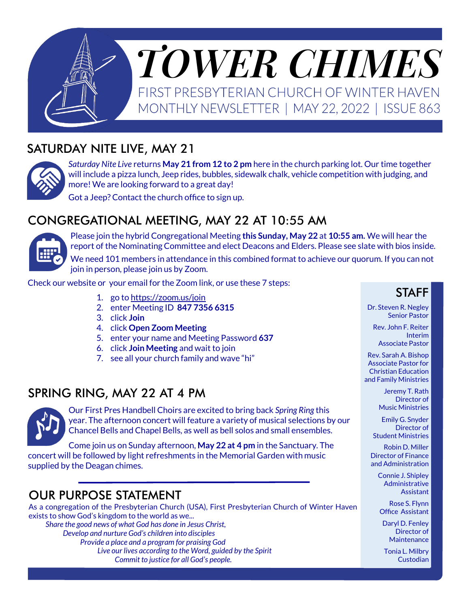

## SATURDAY NITE LIVE, MAY 21



*Saturday Nite Live* returns **May 21 from 12 to 2 pm** here in the church parking lot. Our time together will include a pizza lunch, Jeep rides, bubbles, sidewalk chalk, vehicle competition with judging, and more! We are looking forward to a great day!

Got a Jeep? Contact the church office to sign up.

### CONGREGATIONAL MEETING, MAY 22 AT 10:55 AM



Please join the hybrid Congregational Meeting **this Sunday, May 22** at **10:55 am.** We will hear the report of the Nominating Committee and elect Deacons and Elders. Please see slate with bios inside. We need 101 members in attendance in this combined format to achieve our quorum. If you can not join in person, please join us by Zoom.

Check our website or your email for the Zoom link, or use these 7 steps:

- 1. go to<https://zoom.us/join>
- 2. enter Meeting ID **847 7356 6315**
- 3. click **Join**
- 4. click **Open Zoom Meeting**
- 5. enter your name and Meeting Password **637**
- 6. click **Join Meeting** and wait to join
- 7. see all your church family and wave "hi"

### SPRING RING, MAY 22 AT 4 PM



Our First Pres Handbell Choirs are excited to bring back *Spring Ring* this year. The afternoon concert will feature a variety of musical selections by our Chancel Bells and Chapel Bells, as well as bell solos and small ensembles.

Come join us on Sunday afternoon, **May 22 at 4 pm** in the Sanctuary. The concert will be followed by light refreshments in the Memorial Garden with music supplied by the Deagan chimes.

## OUR PURPOSE STATEMENT

As a congregation of the Presbyterian Church (USA), First Presbyterian Church of Winter Haven exists to show God's kingdom to the world as we... *Share the good news of what God has done in Jesus Christ,* 

*Develop and nurture God's children into disciples Provide a place and a program for praising God Live our lives according to the Word, guided by the Spirit Commit to justice for all God's people.*

#### **STAFF**

Dr. Steven R. Negley Senior Pastor

Rev. John F. Reiter Interim Associate Pastor

Rev. Sarah A. Bishop Associate Pastor for Christian Education and Family Ministries

> Jeremy T. Rath Director of Music Ministries

Emily G. Snyder Director of Student Ministries

Robin D. Miller Director of Finance and Administration

Connie J. Shipley Administrative **Assistant** 

Rose S. Flynn Office Assistant

Daryl D. Fenley Director of **Maintenance** 

Tonia L. Milbry Custodian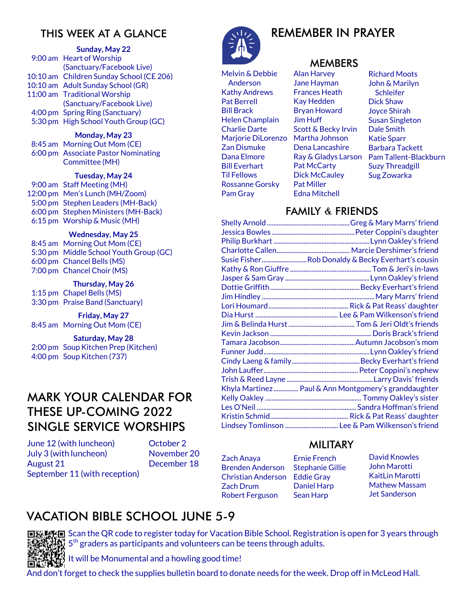#### THIS WEEK AT A GLANCE

#### **Sunday, May 22**

9:00 am Heart of Worship (Sanctuary/Facebook Live) 10:10 am Children Sunday School (CE 206) 10:10 am Adult Sunday School (GR) 11:00 am Traditional Worship (Sanctuary/Facebook Live) 4:00 pm Spring Ring (Sanctuary) 5:30 pm High School Youth Group (GC)

#### **Monday, May 23**

8:45 am Morning Out Mom (CE) 6:00 pm Associate Pastor Nominating Committee (MH)

#### **Tuesday, May 24**

9:00 am Staff Meeting (MH) 12:00 pm Men's Lunch (MH/Zoom) 5:00 pm Stephen Leaders (MH-Back) 6:00 pm Stephen Ministers (MH-Back) 6:15 pm Worship & Music (MH)

#### **Wednesday, May 25**

8:45 am Morning Out Mom (CE) 5:30 pm Middle School Youth Group (GC) 6:00 pm Chancel Bells (MS) 7:00 pm Chancel Choir (MS)

#### **Thursday, May 26**

1:15 pm Chapel Bells (MS) 3:30 pm Praise Band (Sanctuary)

#### **Friday, May 27**

8:45 am Morning Out Mom (CE)

#### **Saturday, May 28**

2:00 pm Soup Kitchen Prep (Kitchen) 4:00 pm Soup Kitchen (737)

### MARK YOUR CALENDAR FOR THESE UP-COMING 2022 SINGLE SERVICE WORSHIPS

June 12 (with luncheon) July 3 (with luncheon) August 21 September 11 (with reception)

October 2 November 20 December 18



Melvin & Debbie Anderson Kathy Andrews Pat Berrell Bill Brack Helen Champlain Charlie Darte Marjorie DiLorenzo Zan Dismuke Dana Elmore Bill Everhart Til Fellows Rossanne Gorsky Pam Gray

## REMEMBER IN PRAYER

#### **MEMBERS**

Alan Harvey Jane Hayman Frances Heath Kay Hedden Bryan Howard Jim Huff Scott & Becky Irvin Martha Johnson Dena Lancashire Ray & Gladys Larson Pat McCarty Dick McCauley Pat Miller Edna Mitchell

Richard Moots John & Marilyn **Schleifer** Dick Shaw Joyce Shirah Susan Singleton Dale Smith Katie Sparr Barbara Tackett Pam Tallent-Blackburn Suzy Threadgill Sug Zowarka

#### FAMILY & FRIENDS

| Susie FisherRob Donaldy & Becky Everhart's cousin    |
|------------------------------------------------------|
|                                                      |
|                                                      |
|                                                      |
|                                                      |
|                                                      |
|                                                      |
|                                                      |
|                                                      |
|                                                      |
|                                                      |
|                                                      |
|                                                      |
|                                                      |
| Khyla Martinez Paul & Ann Montgomery's granddaughter |
|                                                      |
|                                                      |
|                                                      |
| Lindsey Tomlinson  Lee & Pam Wilkenson's friend      |
|                                                      |

#### MILITARY

Zach Anaya Brenden Anderson Christian Anderson Eddie Gray Zach Drum Robert Ferguson

Ernie French Stephanie Gillie Daniel Harp Sean Harp

David Knowles John Marotti KaitLin Marotti Mathew Massam Jet Sanderson

### VACATION BIBLE SCHOOL JUNE 5-9



□炭檗画 Scan the QR code to register today for Vacation Bible School. Registration is open for 3 years through 5<sup>th</sup> graders as participants and volunteers can be teens through adults.

 $\mathbb H^1$  It will be Monumental and a howling good time!

And don't forget to check the supplies bulletin board to donate needs for the week. Drop off in McLeod Hall.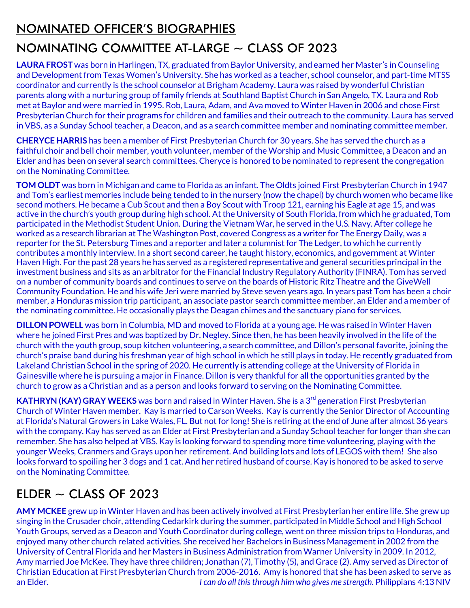### NOMINATED OFFICER'S BIOGRAPHIES

# NOMINATING COMMITTEE AT-LARGE  $\sim$  CLASS OF 2023

**LAURA FROST** was born in Harlingen, TX, graduated from Baylor University, and earned her Master's in Counseling and Development from Texas Women's University. She has worked as a teacher, school counselor, and part-time MTSS coordinator and currently is the school counselor at Brigham Academy. Laura was raised by wonderful Christian parents along with a nurturing group of family friends at Southland Baptist Church in San Angelo, TX. Laura and Rob met at Baylor and were married in 1995. Rob, Laura, Adam, and Ava moved to Winter Haven in 2006 and chose First Presbyterian Church for their programs for children and families and their outreach to the community. Laura has served in VBS, as a Sunday School teacher, a Deacon, and as a search committee member and nominating committee member.

**CHERYCE HARRIS** has been a member of First Presbyterian Church for 30 years. She has served the church as a faithful choir and bell choir member, youth volunteer, member of the Worship and Music Committee, a Deacon and an Elder and has been on several search committees. Cheryce is honored to be nominated to represent the congregation on the Nominating Committee.

**TOM OLDT** was born in Michigan and came to Florida as an infant. The Oldts joined First Presbyterian Church in 1947 and Tom's earliest memories include being tended to in the nursery (now the chapel) by church women who became like second mothers. He became a Cub Scout and then a Boy Scout with Troop 121, earning his Eagle at age 15, and was active in the church's youth group during high school. At the University of South Florida, from which he graduated, Tom participated in the Methodist Student Union. During the Vietnam War, he served in the U.S. Navy. After college he worked as a research librarian at The Washington Post, covered Congress as a writer for The Energy Daily, was a reporter for the St. Petersburg Times and a reporter and later a columnist for The Ledger, to which he currently contributes a monthly interview. In a short second career, he taught history, economics, and government at Winter Haven High. For the past 28 years he has served as a registered representative and general securities principal in the investment business and sits as an arbitrator for the Financial Industry Regulatory Authority (FINRA). Tom has served on a number of community boards and continues to serve on the boards of Historic Ritz Theatre and the GiveWell Community Foundation. He and his wife Jeri were married by Steve seven years ago. In years past Tom has been a choir member, a Honduras mission trip participant, an associate pastor search committee member, an Elder and a member of the nominating committee. He occasionally plays the Deagan chimes and the sanctuary piano for services.

**DILLON POWELL** was born in Columbia, MD and moved to Florida at a young age. He was raised in Winter Haven where he joined First Pres and was baptized by Dr. Negley. Since then, he has been heavily involved in the life of the church with the youth group, soup kitchen volunteering, a search committee, and Dillon's personal favorite, joining the church's praise band during his freshman year of high school in which he still plays in today. He recently graduated from Lakeland Christian School in the spring of 2020. He currently is attending college at the University of Florida in Gainesville where he is pursuing a major in Finance. Dillon is very thankful for all the opportunities granted by the church to grow as a Christian and as a person and looks forward to serving on the Nominating Committee.

**KATHRYN (KAY) GRAY WEEKS** was born and raised in Winter Haven. She is a 3<sup>rd</sup> generation First Presbyterian Church of Winter Haven member. Kay is married to Carson Weeks. Kay is currently the Senior Director of Accounting at Florida's Natural Growers in Lake Wales, FL. But not for long! She is retiring at the end of June after almost 36 years with the company. Kay has served as an Elder at First Presbyterian and a Sunday School teacher for longer than she can remember. She has also helped at VBS. Kay is looking forward to spending more time volunteering, playing with the younger Weeks, Cranmers and Grays upon her retirement. And building lots and lots of LEGOS with them! She also looks forward to spoiling her 3 dogs and 1 cat. And her retired husband of course. Kay is honored to be asked to serve on the Nominating Committee.

# $FIDFR \sim CIASS OF 2023$

**AMY MCKEE** grew up in Winter Haven and has been actively involved at First Presbyterian her entire life. She grew up singing in the Crusader choir, attending Cedarkirk during the summer, participated in Middle School and High School Youth Groups, served as a Deacon and Youth Coordinator during college, went on three mission trips to Honduras, and enjoyed many other church related activities. She received her Bachelors in Business Management in 2002 from the University of Central Florida and her Masters in Business Administration from Warner University in 2009. In 2012, Amy married Joe McKee. They have three children; Jonathan (7), Timothy (5), and Grace (2). Amy served as Director of Christian Education at First Presbyterian Church from 2006-2016. Amy is honored that she has been asked to serve as an Elder. *I can do all this through him who gives me strength.* Philippians 4:13 NIV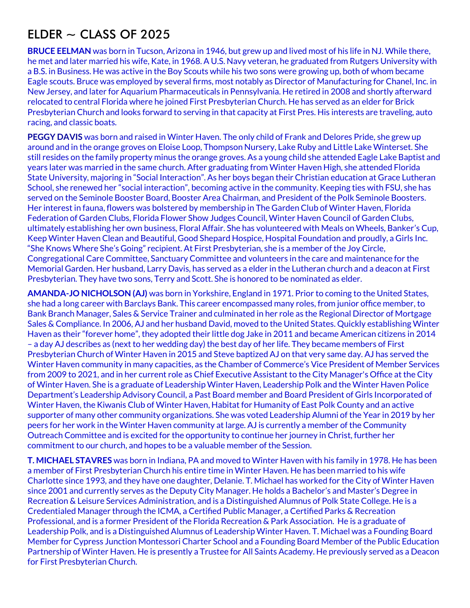## $ELDER \sim CLASS OF 2025$

**BRUCE EELMAN** was born in Tucson, Arizona in 1946, but grew up and lived most of his life in NJ. While there, he met and later married his wife, Kate, in 1968. A U.S. Navy veteran, he graduated from Rutgers University with a B.S. in Business. He was active in the Boy Scouts while his two sons were growing up, both of whom became Eagle scouts. Bruce was employed by several firms, most notably as Director of Manufacturing for Chanel, Inc. in New Jersey, and later for Aquarium Pharmaceuticals in Pennsylvania. He retired in 2008 and shortly afterward relocated to central Florida where he joined First Presbyterian Church. He has served as an elder for Brick Presbyterian Church and looks forward to serving in that capacity at First Pres. His interests are traveling, auto racing, and classic boats.

**PEGGY DAVIS** was born and raised in Winter Haven. The only child of Frank and Delores Pride, she grew up around and in the orange groves on Eloise Loop, Thompson Nursery, Lake Ruby and Little Lake Winterset. She still resides on the family property minus the orange groves. As a young child she attended Eagle Lake Baptist and years later was married in the same church. After graduating from Winter Haven High, she attended Florida State University, majoring in "Social Interaction". As her boys began their Christian education at Grace Lutheran School, she renewed her "social interaction", becoming active in the community. Keeping ties with FSU, she has served on the Seminole Booster Board, Booster Area Chairman, and President of the Polk Seminole Boosters. Her interest in fauna, flowers was bolstered by membership in The Garden Club of Winter Haven, Florida Federation of Garden Clubs, Florida Flower Show Judges Council, Winter Haven Council of Garden Clubs, ultimately establishing her own business, Floral Affair. She has volunteered with Meals on Wheels, Banker's Cup, Keep Winter Haven Clean and Beautiful, Good Shepard Hospice, Hospital Foundation and proudly, a Girls Inc. "She Knows Where She's Going" recipient. At First Presbyterian, she is a member of the Joy Circle, Congregational Care Committee, Sanctuary Committee and volunteers in the care and maintenance for the Memorial Garden. Her husband, Larry Davis, has served as a elder in the Lutheran church and a deacon at First Presbyterian. They have two sons, Terry and Scott. She is honored to be nominated as elder.

**AMANDA-JO NICHOLSON (AJ)** was born in Yorkshire, England in 1971. Prior to coming to the United States, she had a long career with Barclays Bank. This career encompassed many roles, from junior office member, to Bank Branch Manager, Sales & Service Trainer and culminated in her role as the Regional Director of Mortgage Sales & Compliance. In 2006, AJ and her husband David, moved to the United States. Quickly establishing Winter Haven as their "forever home", they adopted their little dog Jake in 2011 and became American citizens in 2014 – a day AJ describes as (next to her wedding day) the best day of her life. They became members of First Presbyterian Church of Winter Haven in 2015 and Steve baptized AJ on that very same day. AJ has served the Winter Haven community in many capacities, as the Chamber of Commerce's Vice President of Member Services from 2009 to 2021, and in her current role as Chief Executive Assistant to the City Manager's Office at the City of Winter Haven. She is a graduate of Leadership Winter Haven, Leadership Polk and the Winter Haven Police Department's Leadership Advisory Council, a Past Board member and Board President of Girls Incorporated of Winter Haven, the Kiwanis Club of Winter Haven, Habitat for Humanity of East Polk County and an active supporter of many other community organizations. She was voted Leadership Alumni of the Year in 2019 by her peers for her work in the Winter Haven community at large. AJ is currently a member of the Community Outreach Committee and is excited for the opportunity to continue her journey in Christ, further her commitment to our church, and hopes to be a valuable member of the Session.

**T. MICHAEL STAVRES** was born in Indiana, PA and moved to Winter Haven with his family in 1978. He has been a member of First Presbyterian Church his entire time in Winter Haven. He has been married to his wife Charlotte since 1993, and they have one daughter, Delanie. T. Michael has worked for the City of Winter Haven since 2001 and currently serves as the Deputy City Manager. He holds a Bachelor's and Master's Degree in Recreation & Leisure Services Administration, and is a Distinguished Alumnus of Polk State College. He is a Credentialed Manager through the ICMA, a Certified Public Manager, a Certified Parks & Recreation Professional, and is a former President of the Florida Recreation & Park Association. He is a graduate of Leadership Polk, and is a Distinguished Alumnus of Leadership Winter Haven. T. Michael was a Founding Board Member for Cypress Junction Montessori Charter School and a Founding Board Member of the Public Education Partnership of Winter Haven. He is presently a Trustee for All Saints Academy. He previously served as a Deacon for First Presbyterian Church.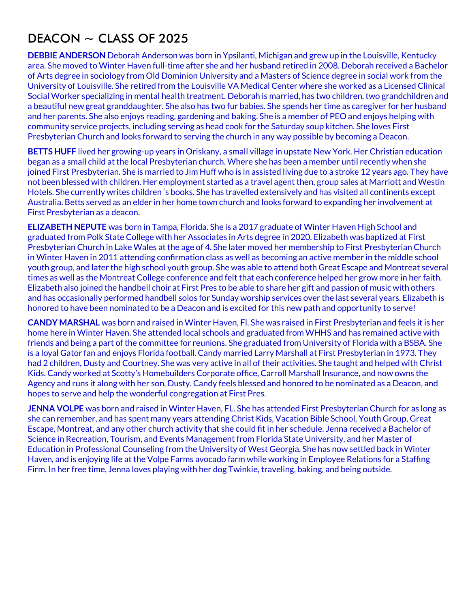# DEACON  $\sim$  CLASS OF 2025

**DEBBIE ANDERSON** Deborah Anderson was born in Ypsilanti, Michigan and grew up in the Louisville, Kentucky area. She moved to Winter Haven full-time after she and her husband retired in 2008. Deborah received a Bachelor of Arts degree in sociology from Old Dominion University and a Masters of Science degree in social work from the University of Louisville. She retired from the Louisville VA Medical Center where she worked as a Licensed Clinical Social Worker specializing in mental health treatment. Deborah is married, has two children, two grandchildren and a beautiful new great granddaughter. She also has two fur babies. She spends her time as caregiver for her husband and her parents. She also enjoys reading, gardening and baking. She is a member of PEO and enjoys helping with community service projects, including serving as head cook for the Saturday soup kitchen. She loves First Presbyterian Church and looks forward to serving the church in any way possible by becoming a Deacon.

**BETTS HUFF** lived her growing-up years in Oriskany, a small village in upstate New York. Her Christian education began as a small child at the local Presbyterian church. Where she has been a member until recently when she joined First Presbyterian. She is married to Jim Huff who is in assisted living due to a stroke 12 years ago. They have not been blessed with children. Her employment started as a travel agent then, group sales at Marriott and Westin Hotels. She currently writes children 's books. She has travelled extensively and has visited all continents except Australia. Betts served as an elder in her home town church and looks forward to expanding her involvement at First Presbyterian as a deacon.

**ELIZABETH NEPUTE** was born in Tampa, Florida. She is a 2017 graduate of Winter Haven High School and graduated from Polk State College with her Associates in Arts degree in 2020. Elizabeth was baptized at First Presbyterian Church in Lake Wales at the age of 4. She later moved her membership to First Presbyterian Church in Winter Haven in 2011 attending confirmation class as well as becoming an active member in the middle school youth group, and later the high school youth group. She was able to attend both Great Escape and Montreat several times as well as the Montreat College conference and felt that each conference helped her grow more in her faith. Elizabeth also joined the handbell choir at First Pres to be able to share her gift and passion of music with others and has occasionally performed handbell solos for Sunday worship services over the last several years. Elizabeth is honored to have been nominated to be a Deacon and is excited for this new path and opportunity to serve!

**CANDY MARSHAL** was born and raised in Winter Haven, Fl. She was raised in First Presbyterian and feels it is her home here in Winter Haven. She attended local schools and graduated from WHHS and has remained active with friends and being a part of the committee for reunions. She graduated from University of Florida with a BSBA. She is a loyal Gator fan and enjoys Florida football. Candy married Larry Marshall at First Presbyterian in 1973. They had 2 children, Dusty and Courtney. She was very active in all of their activities. She taught and helped with Christ Kids. Candy worked at Scotty's Homebuilders Corporate office, Carroll Marshall Insurance, and now owns the Agency and runs it along with her son, Dusty. Candy feels blessed and honored to be nominated as a Deacon, and hopes to serve and help the wonderful congregation at First Pres.

**JENNA VOLPE** was born and raised in Winter Haven, FL. She has attended First Presbyterian Church for as long as she can remember, and has spent many years attending Christ Kids, Vacation Bible School, Youth Group, Great Escape, Montreat, and any other church activity that she could fit in her schedule. Jenna received a Bachelor of Science in Recreation, Tourism, and Events Management from Florida State University, and her Master of Education in Professional Counseling from the University of West Georgia. She has now settled back in Winter Haven, and is enjoying life at the Volpe Farms avocado farm while working in Employee Relations for a Staffing Firm. In her free time, Jenna loves playing with her dog Twinkie, traveling, baking, and being outside.